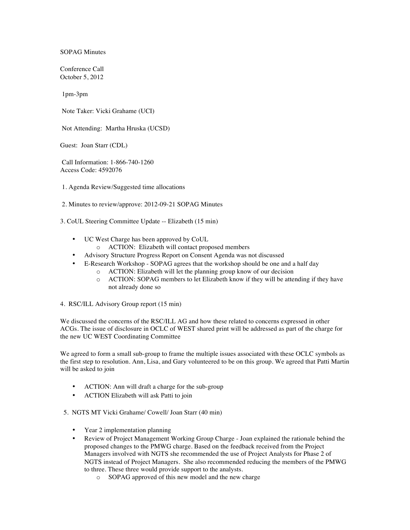SOPAG Minutes

Conference Call October 5, 2012

1pm-3pm

Note Taker: Vicki Grahame (UCI)

Not Attending: Martha Hruska (UCSD)

Guest: Joan Starr (CDL)

Call Information: 1-866-740-1260 Access Code: 4592076

1. Agenda Review/Suggested time allocations

2. Minutes to review/approve: 2012-09-21 SOPAG Minutes

3. CoUL Steering Committee Update -- Elizabeth (15 min)

- UC West Charge has been approved by CoUL
	- o ACTION: Elizabeth will contact proposed members
- Advisory Structure Progress Report on Consent Agenda was not discussed
- E-Research Workshop SOPAG agrees that the workshop should be one and a half day
	- o ACTION: Elizabeth will let the planning group know of our decision
		- o ACTION: SOPAG members to let Elizabeth know if they will be attending if they have not already done so
- 4. RSC/ILL Advisory Group report (15 min)

We discussed the concerns of the RSC/ILL AG and how these related to concerns expressed in other ACGs. The issue of disclosure in OCLC of WEST shared print will be addressed as part of the charge for the new UC WEST Coordinating Committee

We agreed to form a small sub-group to frame the multiple issues associated with these OCLC symbols as the first step to resolution. Ann, Lisa, and Gary volunteered to be on this group. We agreed that Patti Martin will be asked to join

- ACTION: Ann will draft a charge for the sub-group
- ACTION Elizabeth will ask Patti to join

5. NGTS MT Vicki Grahame/ Cowell/ Joan Starr (40 min)

- Year 2 implementation planning
- Review of Project Management Working Group Charge Joan explained the rationale behind the proposed changes to the PMWG charge. Based on the feedback received from the Project Managers involved with NGTS she recommended the use of Project Analysts for Phase 2 of NGTS instead of Project Managers. She also recommended reducing the members of the PMWG to three. These three would provide support to the analysts.
	- o SOPAG approved of this new model and the new charge